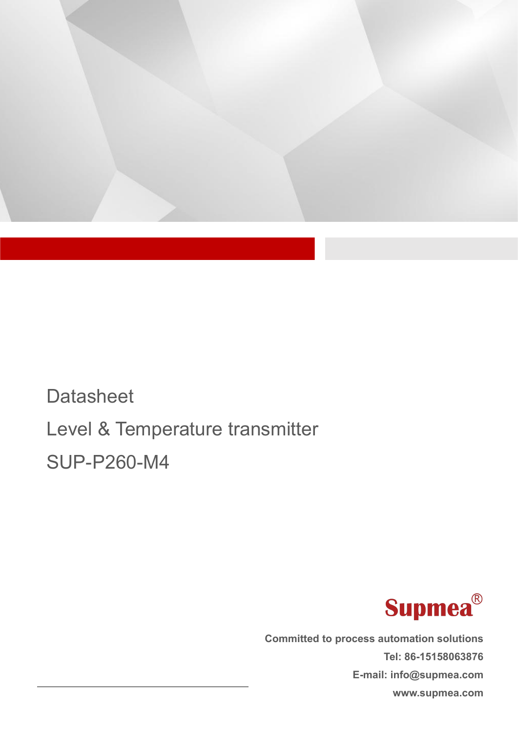

# **Datasheet** Level & Temperature transmitter SUP-P260-M4



**Committed to process automation solutions Tel: 86-15158063876 E-mail: info@supmea.com www.supmea.com**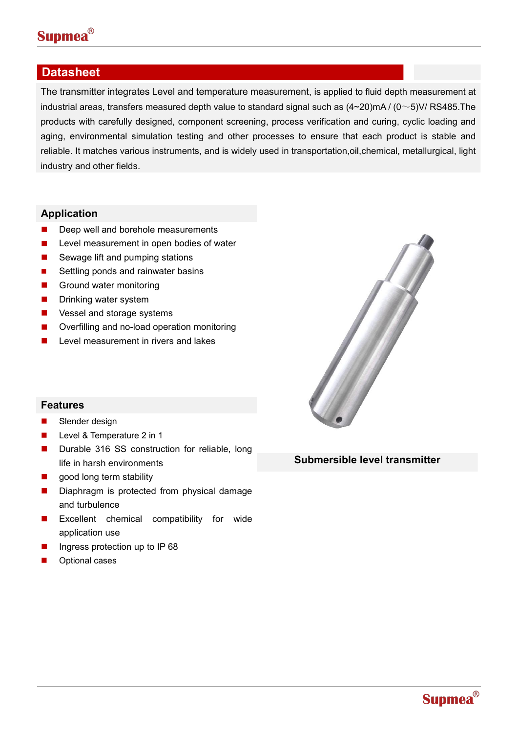

## **Datasheet**

The transmitter integrates Level and temperature measurement, is applied to fluid depth measurement at industrial areas, transfers measured depth value to standard signal such as  $(4~20)$ mA /  $(0~5)$ V/ RS485. The products with carefully designed, component screening, process verification and curing, cyclic loading and aging, environmental simulation testing and other processes to ensure that each product is stable and reliable. It matches various instruments, and is widely used in transportation,oil,chemical, metallurgical, light industry and other fields.

### **Application**

- Deep well and borehole measurements
- **Level measurement in open bodies of water**
- Sewage lift and pumping stations
- Settling ponds and rainwater basins
- Ground water monitoring
- **Drinking water system**
- Vessel and storage systems
- Overfilling and no-load operation monitoring
- Level measurement in rivers and lakes



## **Features**

- Slender design
- **Level & Temperature 2 in 1**
- Durable 316 SS construction for reliable, long life in harsh environments
- good long term stability
- Diaphragm is protected from physical damage and turbulence
- **EXCELLENT Chemical compatibility for wide** application use
- Ingress protection up to IP 68
- Optional cases

**Submersible level transmitter**

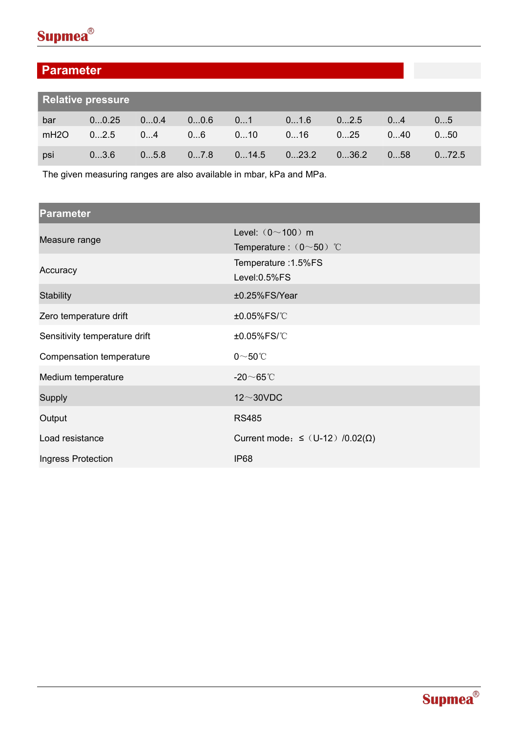

## **Parameter**

|      | <b>Relative pressure</b> |      |      |       |       |       |     |       |
|------|--------------------------|------|------|-------|-------|-------|-----|-------|
| bar  | 00.25                    | 00.4 | 00.6 | 01    | 01.6  | 02.5  | 04  | 05    |
| mH2O | 02.5                     | 04   | 06   | 010   | 016   | 025   | 040 | 050   |
| psi  | 03.6                     | 05.8 | 07.8 | 014.5 | 023.2 | 036.2 | 058 | 072.5 |

The given measuring ranges are also available in mbar, kPa and MPa.

| <b>Parameter</b>              |                                               |  |  |
|-------------------------------|-----------------------------------------------|--|--|
| Measure range                 | Level: $(0 \sim 100)$ m                       |  |  |
|                               | Temperature: $(0 \sim 50)$ °C                 |  |  |
| Accuracy                      | Temperature : 1.5%FS                          |  |  |
|                               | Level: 0.5%FS                                 |  |  |
| <b>Stability</b>              | ±0.25%FS/Year                                 |  |  |
| Zero temperature drift        | ±0.05%FS/°C                                   |  |  |
| Sensitivity temperature drift | ±0.05%FS/°C                                   |  |  |
| Compensation temperature      | $0\nthicksim50^{\circ}\!C$                    |  |  |
| Medium temperature            | -20 $\sim$ 65°C                               |  |  |
| <b>Supply</b>                 | $12\sim30$ VDC                                |  |  |
| Output                        | <b>RS485</b>                                  |  |  |
| Load resistance               | Current mode: $\leq$ (U-12) /0.02( $\Omega$ ) |  |  |
| Ingress Protection            | <b>IP68</b>                                   |  |  |

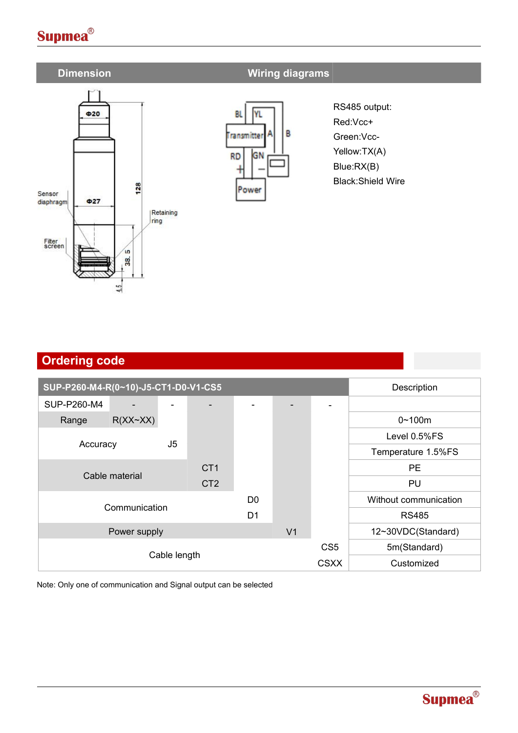## **Supmea**<sup>®</sup>



## **Dimension Wiring diagrams**



RS485 output: Red:Vcc+ Green:Vcc- Yellow:TX(A) Blue:RX(B) Black:Shield Wire

| <b>Ordering code</b>                    |                 |                |                          |              |                       |
|-----------------------------------------|-----------------|----------------|--------------------------|--------------|-----------------------|
|                                         |                 |                |                          |              |                       |
| SUP-P260-M4-R(0~10)-J5-CT1-D0-V1-CS5    | Description     |                |                          |              |                       |
| SUP-P260-M4<br>$\overline{\phantom{0}}$ |                 |                | $\overline{\phantom{0}}$ |              |                       |
| $R(XX \sim XX)$<br>Range                |                 |                |                          |              | $0 - 100m$            |
|                                         |                 |                |                          |              | Level 0.5%FS          |
| J <sub>5</sub><br>Accuracy              |                 |                |                          |              | Temperature 1.5%FS    |
|                                         | CT <sub>1</sub> |                |                          |              | PE                    |
| Cable material                          | CT <sub>2</sub> |                |                          |              | PU                    |
| Communication                           |                 | D0             |                          |              | Without communication |
|                                         |                 | D <sub>1</sub> |                          |              | <b>RS485</b>          |
| Power supply                            |                 |                | V <sub>1</sub>           |              | 12~30VDC(Standard)    |
|                                         |                 |                | CS <sub>5</sub>          | 5m(Standard) |                       |
| Cable length                            |                 |                | <b>CSXX</b>              | Customized   |                       |

Note: Only one of communication and Signal output can be selected